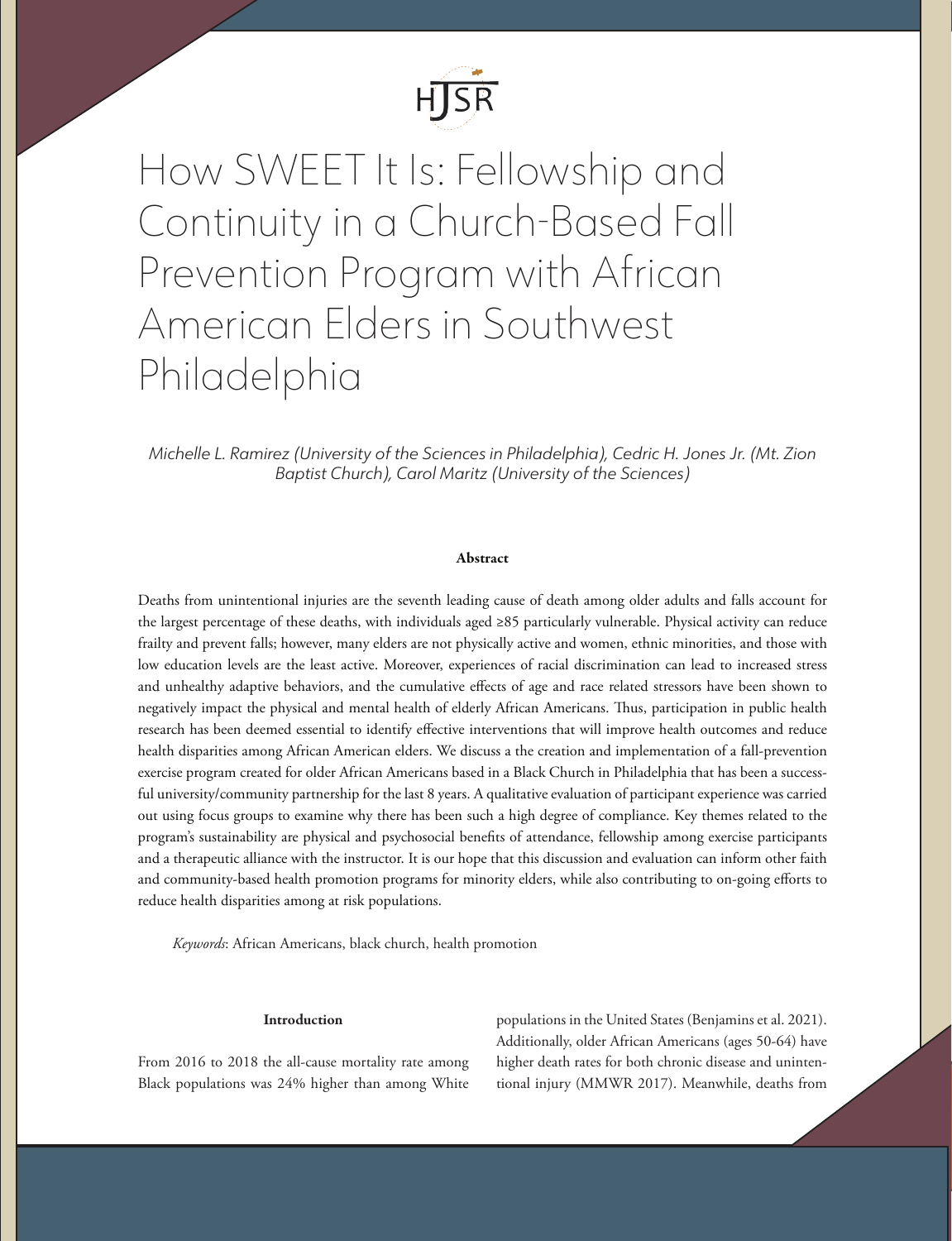

How SWEET It Is: Fellowship and Continuity in a Church-Based Fall Prevention Program with African American Elders in Southwest Philadelphia

*Michelle L. Ramirez (University of the Sciences in Philadelphia), Cedric H. Jones Jr. (Mt. Zion Baptist Church), Carol Maritz (University of the Sciences)*

## Abstract

Deaths from unintentional injuries are the seventh leading cause of death among older adults and falls account for the largest percentage of these deaths, with individuals aged ≥85 particularly vulnerable. Physical activity can reduce frailty and prevent falls; however, many elders are not physically active and women, ethnic minorities, and those with low education levels are the least active. Moreover, experiences of racial discrimination can lead to increased stress and unhealthy adaptive behaviors, and the cumulative effects of age and race related stressors have been shown to negatively impact the physical and mental health of elderly African Americans. Thus, participation in public health research has been deemed essential to identify effective interventions that will improve health outcomes and reduce health disparities among African American elders. We discuss a the creation and implementation of a fall-prevention exercise program created for older African Americans based in a Black Church in Philadelphia that has been a successful university/community partnership for the last 8 years. A qualitative evaluation of participant experience was carried out using focus groups to examine why there has been such a high degree of compliance. Key themes related to the program's sustainability are physical and psychosocial benefits of attendance, fellowship among exercise participants and a therapeutic alliance with the instructor. It is our hope that this discussion and evaluation can inform other faith and community-based health promotion programs for minority elders, while also contributing to on-going efforts to reduce health disparities among at risk populations.

*Keywords*: African Americans, black church, health promotion

## Introduction

From 2016 to 2018 the all-cause mortality rate among Black populations was 24% higher than among White

populations in the United States (Benjamins et al. 2021). Additionally, older African Americans (ages 50-64) have higher death rates for both chronic disease and unintentional injury (MMWR 2017). Meanwhile, deaths from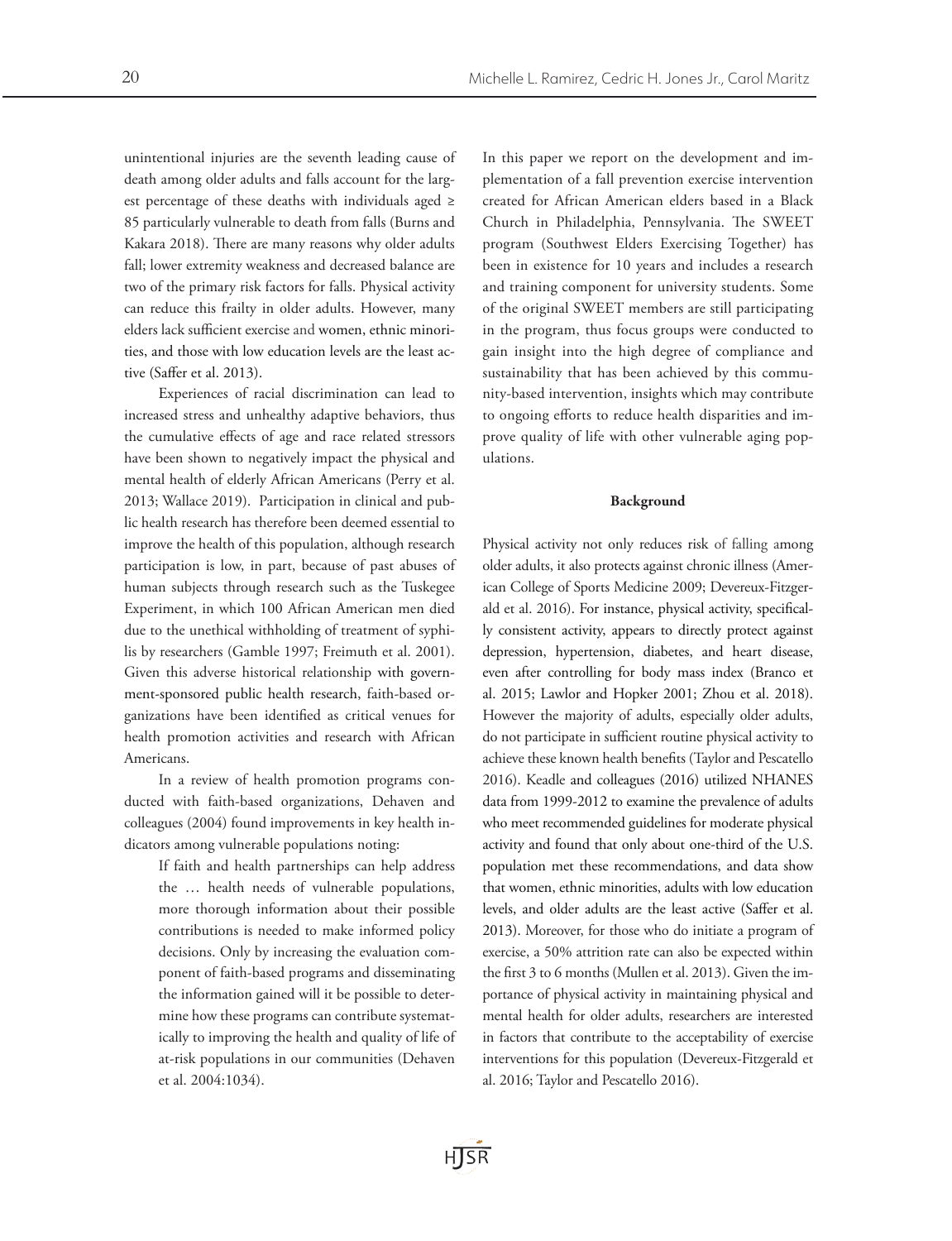unintentional injuries are the seventh leading cause of death among older adults and falls account for the largest percentage of these deaths with individuals aged ≥ 85 particularly vulnerable to death from falls (Burns and Kakara 2018). There are many reasons why older adults fall; lower extremity weakness and decreased balance are two of the primary risk factors for falls. Physical activity can reduce this frailty in older adults. However, many elders lack sufficient exercise and women, ethnic minorities, and those with low education levels are the least active (Saffer et al. 2013).

Experiences of racial discrimination can lead to increased stress and unhealthy adaptive behaviors, thus the cumulative effects of age and race related stressors have been shown to negatively impact the physical and mental health of elderly African Americans (Perry et al. 2013; Wallace 2019). Participation in clinical and public health research has therefore been deemed essential to improve the health of this population, although research participation is low, in part, because of past abuses of human subjects through research such as the Tuskegee Experiment, in which 100 African American men died due to the unethical withholding of treatment of syphilis by researchers (Gamble 1997; Freimuth et al. 2001). Given this adverse historical relationship with government-sponsored public health research, faith-based organizations have been identified as critical venues for health promotion activities and research with African Americans.

In a review of health promotion programs conducted with faith-based organizations, Dehaven and colleagues (2004) found improvements in key health indicators among vulnerable populations noting:

If faith and health partnerships can help address the … health needs of vulnerable populations, more thorough information about their possible contributions is needed to make informed policy decisions. Only by increasing the evaluation component of faith-based programs and disseminating the information gained will it be possible to determine how these programs can contribute systematically to improving the health and quality of life of at-risk populations in our communities (Dehaven et al. 2004:1034).

In this paper we report on the development and implementation of a fall prevention exercise intervention created for African American elders based in a Black Church in Philadelphia, Pennsylvania. The SWEET program (Southwest Elders Exercising Together) has been in existence for 10 years and includes a research and training component for university students. Some of the original SWEET members are still participating in the program, thus focus groups were conducted to gain insight into the high degree of compliance and sustainability that has been achieved by this community-based intervention, insights which may contribute to ongoing efforts to reduce health disparities and improve quality of life with other vulnerable aging populations.

#### Background

Physical activity not only reduces risk of falling among older adults, it also protects against chronic illness (American College of Sports Medicine 2009; Devereux-Fitzgerald et al. 2016). For instance, physical activity, specifically consistent activity, appears to directly protect against depression, hypertension, diabetes, and heart disease, even after controlling for body mass index (Branco et al. 2015; Lawlor and Hopker 2001; Zhou et al. 2018). However the majority of adults, especially older adults, do not participate in sufficient routine physical activity to achieve these known health benefits (Taylor and Pescatello 2016). Keadle and colleagues (2016) utilized NHANES data from 1999-2012 to examine the prevalence of adults who meet recommended guidelines for moderate physical activity and found that only about one-third of the U.S. population met these recommendations, and data show that women, ethnic minorities, adults with low education levels, and older adults are the least active (Saffer et al. 2013). Moreover, for those who do initiate a program of exercise, a 50% attrition rate can also be expected within the first 3 to 6 months (Mullen et al. 2013). Given the importance of physical activity in maintaining physical and mental health for older adults, researchers are interested in factors that contribute to the acceptability of exercise interventions for this population (Devereux-Fitzgerald et al. 2016; Taylor and Pescatello 2016).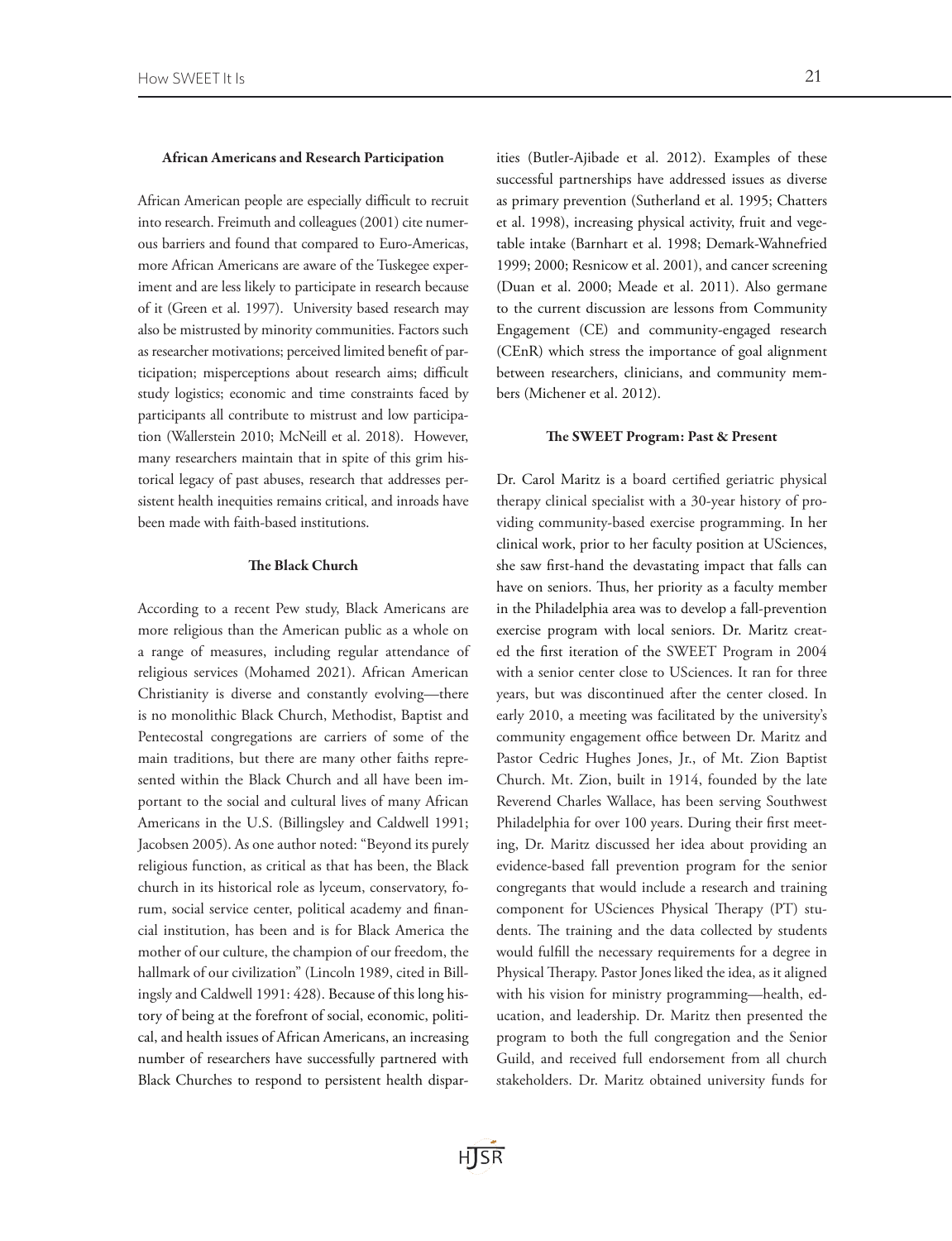#### African Americans and Research Participation

African American people are especially difficult to recruit into research. Freimuth and colleagues (2001) cite numerous barriers and found that compared to Euro-Americas, more African Americans are aware of the Tuskegee experiment and are less likely to participate in research because of it (Green et al. 1997). University based research may also be mistrusted by minority communities. Factors such as researcher motivations; perceived limited benefit of participation; misperceptions about research aims; difficult study logistics; economic and time constraints faced by participants all contribute to mistrust and low participation (Wallerstein 2010; McNeill et al. 2018). However, many researchers maintain that in spite of this grim historical legacy of past abuses, research that addresses persistent health inequities remains critical, and inroads have been made with faith-based institutions.

# The Black Church

According to a recent Pew study, Black Americans are more religious than the American public as a whole on a range of measures, including regular attendance of religious services (Mohamed 2021). African American Christianity is diverse and constantly evolving—there is no monolithic Black Church, Methodist, Baptist and Pentecostal congregations are carriers of some of the main traditions, but there are many other faiths represented within the Black Church and all have been important to the social and cultural lives of many African Americans in the U.S. (Billingsley and Caldwell 1991; Jacobsen 2005). As one author noted: "Beyond its purely religious function, as critical as that has been, the Black church in its historical role as lyceum, conservatory, forum, social service center, political academy and financial institution, has been and is for Black America the mother of our culture, the champion of our freedom, the hallmark of our civilization" (Lincoln 1989, cited in Billingsly and Caldwell 1991: 428). Because of this long history of being at the forefront of social, economic, political, and health issues of African Americans, an increasing number of researchers have successfully partnered with Black Churches to respond to persistent health disparities (Butler-Ajibade et al. 2012). Examples of these successful partnerships have addressed issues as diverse as primary prevention (Sutherland et al. 1995; Chatters et al. 1998), increasing physical activity, fruit and vegetable intake (Barnhart et al. 1998; Demark-Wahnefried 1999; 2000; Resnicow et al. 2001), and cancer screening (Duan et al. 2000; Meade et al. 2011). Also germane to the current discussion are lessons from Community Engagement (CE) and community-engaged research (CEnR) which stress the importance of goal alignment between researchers, clinicians, and community members (Michener et al. 2012).

#### The SWEET Program: Past & Present

Dr. Carol Maritz is a board certified geriatric physical therapy clinical specialist with a 30-year history of providing community-based exercise programming. In her clinical work, prior to her faculty position at USciences, she saw first-hand the devastating impact that falls can have on seniors. Thus, her priority as a faculty member in the Philadelphia area was to develop a fall-prevention exercise program with local seniors. Dr. Maritz created the first iteration of the SWEET Program in 2004 with a senior center close to USciences. It ran for three years, but was discontinued after the center closed. In early 2010, a meeting was facilitated by the university's community engagement office between Dr. Maritz and Pastor Cedric Hughes Jones, Jr., of Mt. Zion Baptist Church. Mt. Zion, built in 1914, founded by the late Reverend Charles Wallace, has been serving Southwest Philadelphia for over 100 years. During their first meeting, Dr. Maritz discussed her idea about providing an evidence-based fall prevention program for the senior congregants that would include a research and training component for USciences Physical Therapy (PT) students. The training and the data collected by students would fulfill the necessary requirements for a degree in Physical Therapy. Pastor Jones liked the idea, as it aligned with his vision for ministry programming—health, education, and leadership. Dr. Maritz then presented the program to both the full congregation and the Senior Guild, and received full endorsement from all church stakeholders. Dr. Maritz obtained university funds for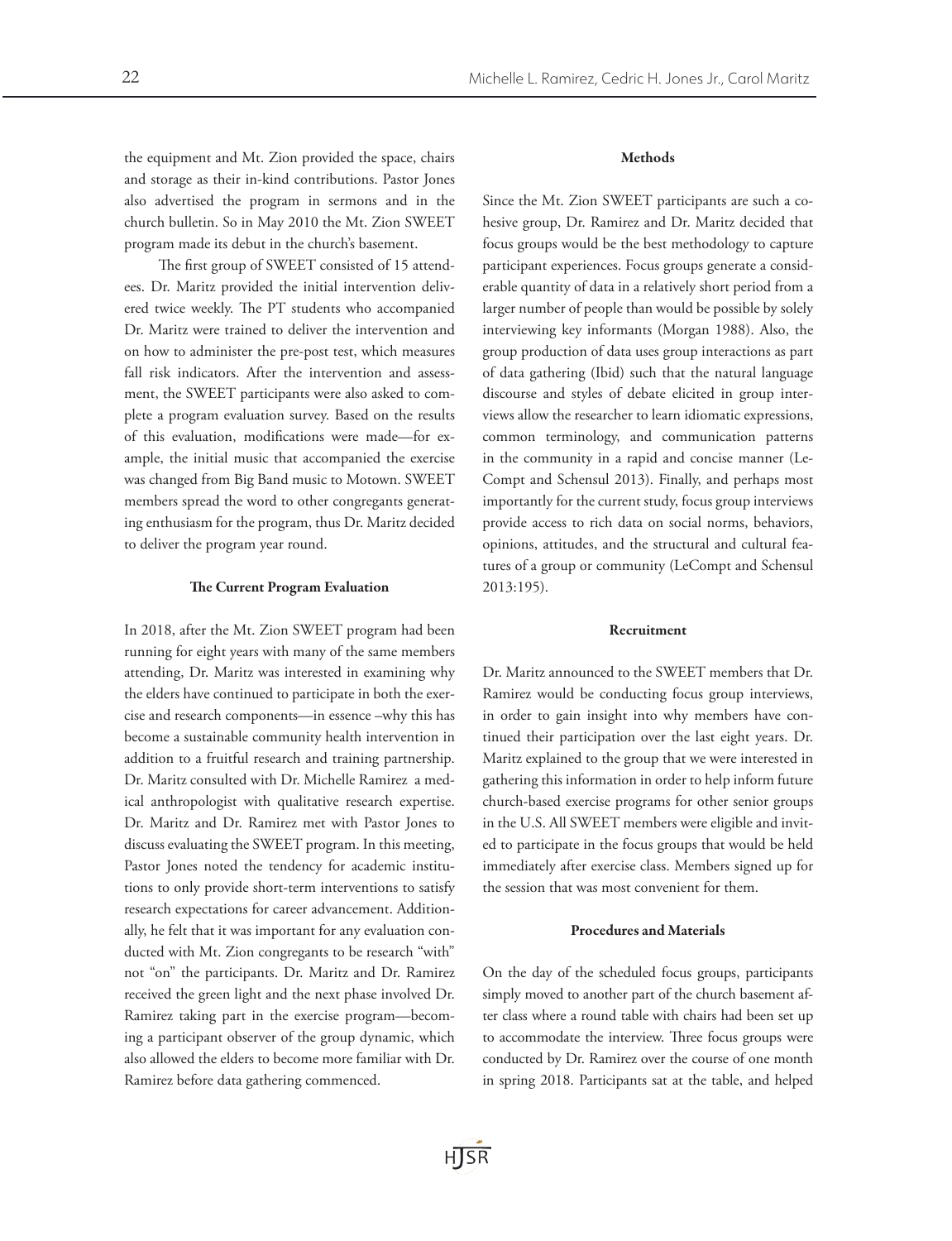the equipment and Mt. Zion provided the space, chairs and storage as their in-kind contributions. Pastor Jones also advertised the program in sermons and in the church bulletin. So in May 2010 the Mt. Zion SWEET program made its debut in the church's basement.

The first group of SWEET consisted of 15 attendees. Dr. Maritz provided the initial intervention delivered twice weekly. The PT students who accompanied Dr. Maritz were trained to deliver the intervention and on how to administer the pre-post test, which measures fall risk indicators. After the intervention and assessment, the SWEET participants were also asked to complete a program evaluation survey. Based on the results of this evaluation, modifications were made—for example, the initial music that accompanied the exercise was changed from Big Band music to Motown. SWEET members spread the word to other congregants generating enthusiasm for the program, thus Dr. Maritz decided to deliver the program year round.

## The Current Program Evaluation

In 2018, after the Mt. Zion SWEET program had been running for eight years with many of the same members attending, Dr. Maritz was interested in examining why the elders have continued to participate in both the exercise and research components—in essence –why this has become a sustainable community health intervention in addition to a fruitful research and training partnership. Dr. Maritz consulted with Dr. Michelle Ramirez a medical anthropologist with qualitative research expertise. Dr. Maritz and Dr. Ramirez met with Pastor Jones to discuss evaluating the SWEET program. In this meeting, Pastor Jones noted the tendency for academic institutions to only provide short-term interventions to satisfy research expectations for career advancement. Additionally, he felt that it was important for any evaluation conducted with Mt. Zion congregants to be research "with" not "on" the participants. Dr. Maritz and Dr. Ramirez received the green light and the next phase involved Dr. Ramirez taking part in the exercise program—becoming a participant observer of the group dynamic, which also allowed the elders to become more familiar with Dr. Ramirez before data gathering commenced.

# Methods

Since the Mt. Zion SWEET participants are such a cohesive group, Dr. Ramirez and Dr. Maritz decided that focus groups would be the best methodology to capture participant experiences. Focus groups generate a considerable quantity of data in a relatively short period from a larger number of people than would be possible by solely interviewing key informants (Morgan 1988). Also, the group production of data uses group interactions as part of data gathering (Ibid) such that the natural language discourse and styles of debate elicited in group interviews allow the researcher to learn idiomatic expressions, common terminology, and communication patterns in the community in a rapid and concise manner (Le-Compt and Schensul 2013). Finally, and perhaps most importantly for the current study, focus group interviews provide access to rich data on social norms, behaviors, opinions, attitudes, and the structural and cultural features of a group or community (LeCompt and Schensul 2013:195).

# Recruitment

Dr. Maritz announced to the SWEET members that Dr. Ramirez would be conducting focus group interviews, in order to gain insight into why members have continued their participation over the last eight years. Dr. Maritz explained to the group that we were interested in gathering this information in order to help inform future church-based exercise programs for other senior groups in the U.S. All SWEET members were eligible and invited to participate in the focus groups that would be held immediately after exercise class. Members signed up for the session that was most convenient for them.

## Procedures and Materials

On the day of the scheduled focus groups, participants simply moved to another part of the church basement after class where a round table with chairs had been set up to accommodate the interview. Three focus groups were conducted by Dr. Ramirez over the course of one month in spring 2018. Participants sat at the table, and helped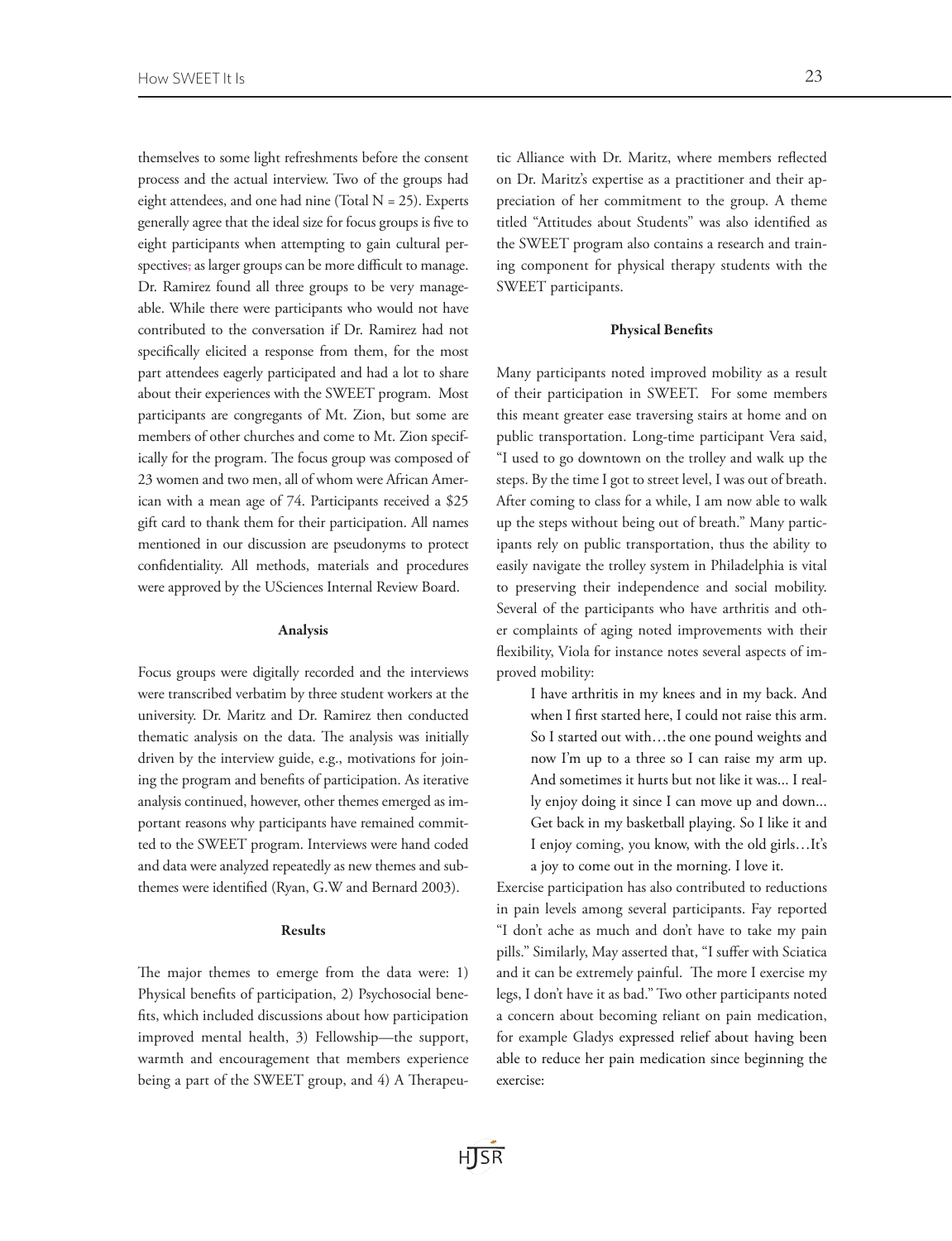themselves to some light refreshments before the consent process and the actual interview. Two of the groups had eight attendees, and one had nine (Total  $N = 25$ ). Experts generally agree that the ideal size for focus groups is five to eight participants when attempting to gain cultural perspectives, as larger groups can be more difficult to manage. Dr. Ramirez found all three groups to be very manageable. While there were participants who would not have contributed to the conversation if Dr. Ramirez had not specifically elicited a response from them, for the most part attendees eagerly participated and had a lot to share about their experiences with the SWEET program. Most participants are congregants of Mt. Zion, but some are members of other churches and come to Mt. Zion specifically for the program. The focus group was composed of 23 women and two men, all of whom were African American with a mean age of 74. Participants received a \$25 gift card to thank them for their participation. All names mentioned in our discussion are pseudonyms to protect confidentiality. All methods, materials and procedures were approved by the USciences Internal Review Board.

# Analysis

Focus groups were digitally recorded and the interviews were transcribed verbatim by three student workers at the university. Dr. Maritz and Dr. Ramirez then conducted thematic analysis on the data. The analysis was initially driven by the interview guide, e.g., motivations for joining the program and benefits of participation. As iterative analysis continued, however, other themes emerged as important reasons why participants have remained committed to the SWEET program. Interviews were hand coded and data were analyzed repeatedly as new themes and subthemes were identified (Ryan, G.W and Bernard 2003).

# Results

The major themes to emerge from the data were: 1) Physical benefits of participation, 2) Psychosocial benefits, which included discussions about how participation improved mental health, 3) Fellowship—the support, warmth and encouragement that members experience being a part of the SWEET group, and 4) A Therapeu-

tic Alliance with Dr. Maritz, where members reflected on Dr. Maritz's expertise as a practitioner and their appreciation of her commitment to the group. A theme titled "Attitudes about Students" was also identified as the SWEET program also contains a research and training component for physical therapy students with the SWEET participants.

## Physical Benefits

Many participants noted improved mobility as a result of their participation in SWEET. For some members this meant greater ease traversing stairs at home and on public transportation. Long-time participant Vera said, "I used to go downtown on the trolley and walk up the steps. By the time I got to street level, I was out of breath. After coming to class for a while, I am now able to walk up the steps without being out of breath." Many participants rely on public transportation, thus the ability to easily navigate the trolley system in Philadelphia is vital to preserving their independence and social mobility. Several of the participants who have arthritis and other complaints of aging noted improvements with their flexibility, Viola for instance notes several aspects of improved mobility:

I have arthritis in my knees and in my back. And when I first started here, I could not raise this arm. So I started out with…the one pound weights and now I'm up to a three so I can raise my arm up. And sometimes it hurts but not like it was... I really enjoy doing it since I can move up and down... Get back in my basketball playing. So I like it and I enjoy coming, you know, with the old girls…It's a joy to come out in the morning. I love it.

Exercise participation has also contributed to reductions in pain levels among several participants. Fay reported "I don't ache as much and don't have to take my pain pills." Similarly, May asserted that, "I suffer with Sciatica and it can be extremely painful. The more I exercise my legs, I don't have it as bad." Two other participants noted a concern about becoming reliant on pain medication, for example Gladys expressed relief about having been able to reduce her pain medication since beginning the exercise:

HISR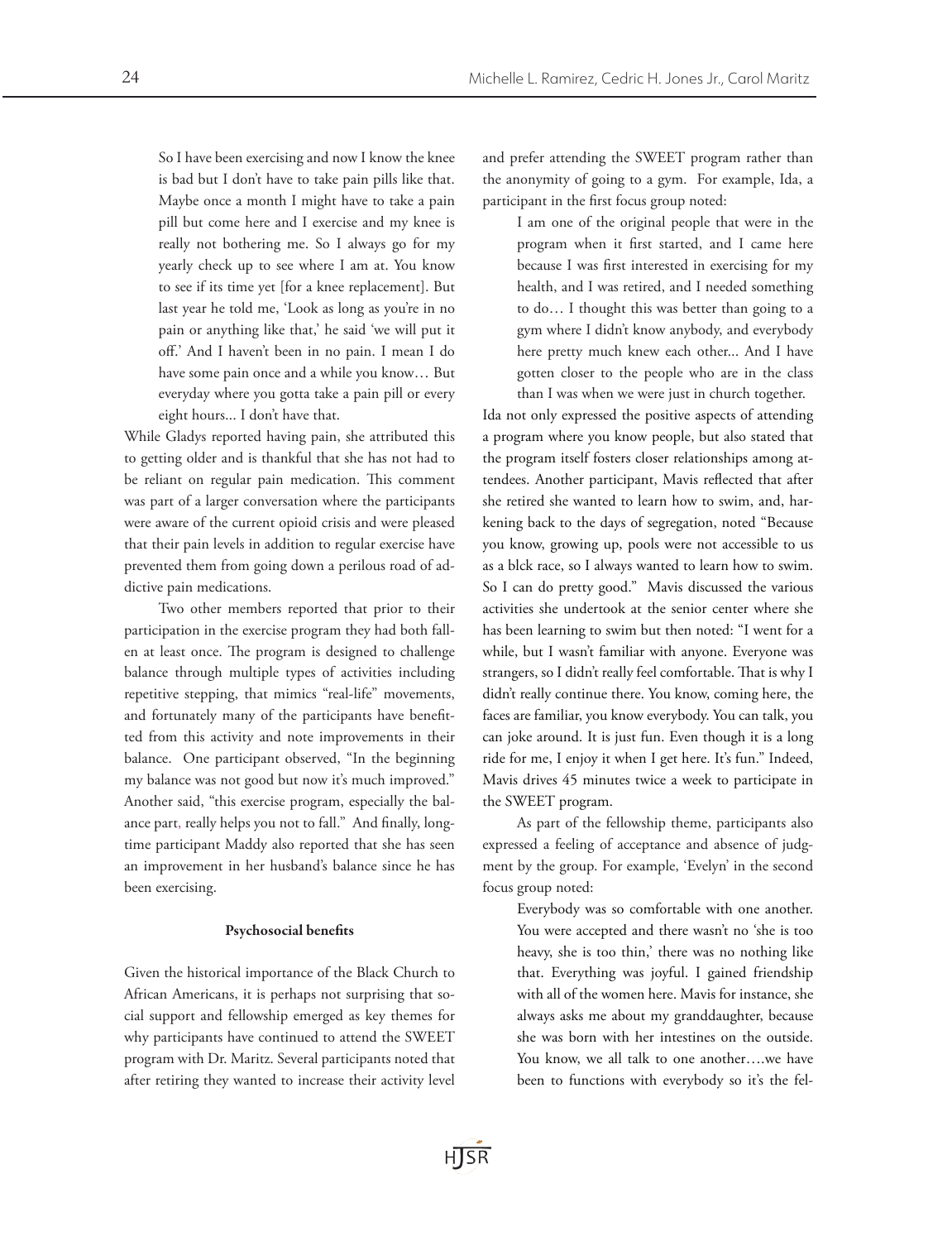So I have been exercising and now I know the knee is bad but I don't have to take pain pills like that. Maybe once a month I might have to take a pain pill but come here and I exercise and my knee is really not bothering me. So I always go for my yearly check up to see where I am at. You know to see if its time yet [for a knee replacement]. But last year he told me, 'Look as long as you're in no pain or anything like that,' he said 'we will put it off.' And I haven't been in no pain. I mean I do have some pain once and a while you know… But everyday where you gotta take a pain pill or every eight hours... I don't have that.

While Gladys reported having pain, she attributed this to getting older and is thankful that she has not had to be reliant on regular pain medication. This comment was part of a larger conversation where the participants were aware of the current opioid crisis and were pleased that their pain levels in addition to regular exercise have prevented them from going down a perilous road of addictive pain medications.

Two other members reported that prior to their participation in the exercise program they had both fallen at least once. The program is designed to challenge balance through multiple types of activities including repetitive stepping, that mimics "real-life" movements, and fortunately many of the participants have benefitted from this activity and note improvements in their balance. One participant observed, "In the beginning my balance was not good but now it's much improved." Another said, "this exercise program, especially the balance part, really helps you not to fall." And finally, longtime participant Maddy also reported that she has seen an improvement in her husband's balance since he has been exercising.

# Psychosocial benefits

Given the historical importance of the Black Church to African Americans, it is perhaps not surprising that social support and fellowship emerged as key themes for why participants have continued to attend the SWEET program with Dr. Maritz. Several participants noted that after retiring they wanted to increase their activity level and prefer attending the SWEET program rather than the anonymity of going to a gym. For example, Ida, a participant in the first focus group noted:

I am one of the original people that were in the program when it first started, and I came here because I was first interested in exercising for my health, and I was retired, and I needed something to do… I thought this was better than going to a gym where I didn't know anybody, and everybody here pretty much knew each other... And I have gotten closer to the people who are in the class than I was when we were just in church together.

Ida not only expressed the positive aspects of attending a program where you know people, but also stated that the program itself fosters closer relationships among attendees. Another participant, Mavis reflected that after she retired she wanted to learn how to swim, and, harkening back to the days of segregation, noted "Because you know, growing up, pools were not accessible to us as a blck race, so I always wanted to learn how to swim. So I can do pretty good." Mavis discussed the various activities she undertook at the senior center where she has been learning to swim but then noted: "I went for a while, but I wasn't familiar with anyone. Everyone was strangers, so I didn't really feel comfortable. That is why I didn't really continue there. You know, coming here, the faces are familiar, you know everybody. You can talk, you can joke around. It is just fun. Even though it is a long ride for me, I enjoy it when I get here. It's fun." Indeed, Mavis drives 45 minutes twice a week to participate in the SWEET program.

As part of the fellowship theme, participants also expressed a feeling of acceptance and absence of judgment by the group. For example, 'Evelyn' in the second focus group noted:

Everybody was so comfortable with one another. You were accepted and there wasn't no 'she is too heavy, she is too thin,' there was no nothing like that. Everything was joyful. I gained friendship with all of the women here. Mavis for instance, she always asks me about my granddaughter, because she was born with her intestines on the outside. You know, we all talk to one another….we have been to functions with everybody so it's the fel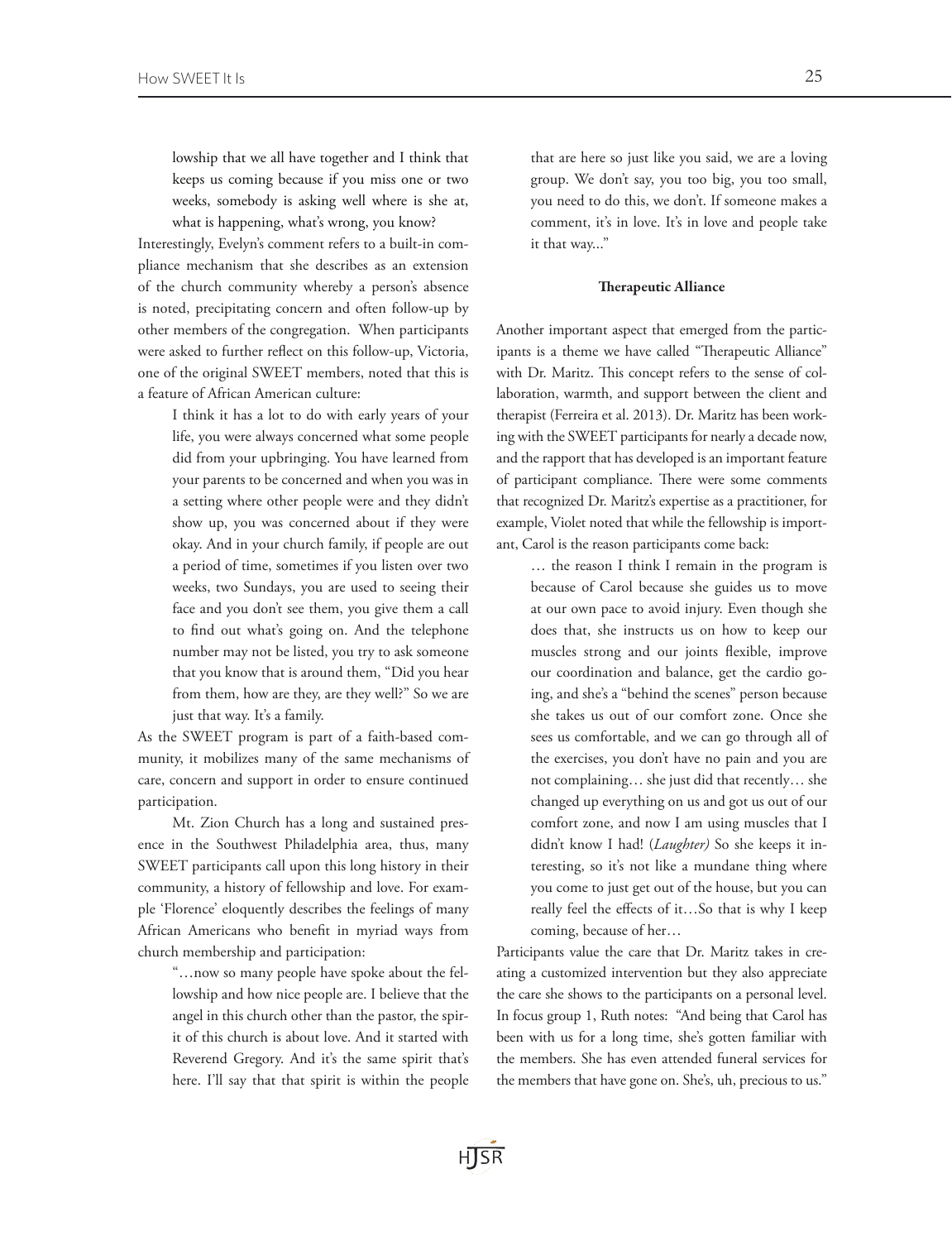lowship that we all have together and I think that keeps us coming because if you miss one or two weeks, somebody is asking well where is she at, what is happening, what's wrong, you know?

Interestingly, Evelyn's comment refers to a built-in compliance mechanism that she describes as an extension of the church community whereby a person's absence is noted, precipitating concern and often follow-up by other members of the congregation. When participants were asked to further reflect on this follow-up, Victoria, one of the original SWEET members, noted that this is a feature of African American culture:

> I think it has a lot to do with early years of your life, you were always concerned what some people did from your upbringing. You have learned from your parents to be concerned and when you was in a setting where other people were and they didn't show up, you was concerned about if they were okay. And in your church family, if people are out a period of time, sometimes if you listen over two weeks, two Sundays, you are used to seeing their face and you don't see them, you give them a call to find out what's going on. And the telephone number may not be listed, you try to ask someone that you know that is around them, "Did you hear from them, how are they, are they well?" So we are just that way. It's a family.

As the SWEET program is part of a faith-based community, it mobilizes many of the same mechanisms of care, concern and support in order to ensure continued participation.

Mt. Zion Church has a long and sustained presence in the Southwest Philadelphia area, thus, many SWEET participants call upon this long history in their community, a history of fellowship and love. For example 'Florence' eloquently describes the feelings of many African Americans who benefit in myriad ways from church membership and participation:

> "…now so many people have spoke about the fellowship and how nice people are. I believe that the angel in this church other than the pastor, the spirit of this church is about love. And it started with Reverend Gregory. And it's the same spirit that's here. I'll say that that spirit is within the people

that are here so just like you said, we are a loving group. We don't say, you too big, you too small, you need to do this, we don't. If someone makes a comment, it's in love. It's in love and people take it that way..."

## Therapeutic Alliance

Another important aspect that emerged from the participants is a theme we have called "Therapeutic Alliance" with Dr. Maritz. This concept refers to the sense of collaboration, warmth, and support between the client and therapist (Ferreira et al. 2013). Dr. Maritz has been working with the SWEET participants for nearly a decade now, and the rapport that has developed is an important feature of participant compliance. There were some comments that recognized Dr. Maritz's expertise as a practitioner, for example, Violet noted that while the fellowship is important, Carol is the reason participants come back:

> … the reason I think I remain in the program is because of Carol because she guides us to move at our own pace to avoid injury. Even though she does that, she instructs us on how to keep our muscles strong and our joints flexible, improve our coordination and balance, get the cardio going, and she's a "behind the scenes" person because she takes us out of our comfort zone. Once she sees us comfortable, and we can go through all of the exercises, you don't have no pain and you are not complaining… she just did that recently… she changed up everything on us and got us out of our comfort zone, and now I am using muscles that I didn't know I had! (*Laughter)* So she keeps it interesting, so it's not like a mundane thing where you come to just get out of the house, but you can really feel the effects of it…So that is why I keep coming, because of her…

Participants value the care that Dr. Maritz takes in creating a customized intervention but they also appreciate the care she shows to the participants on a personal level. In focus group 1, Ruth notes: "And being that Carol has been with us for a long time, she's gotten familiar with the members. She has even attended funeral services for the members that have gone on. She's, uh, precious to us."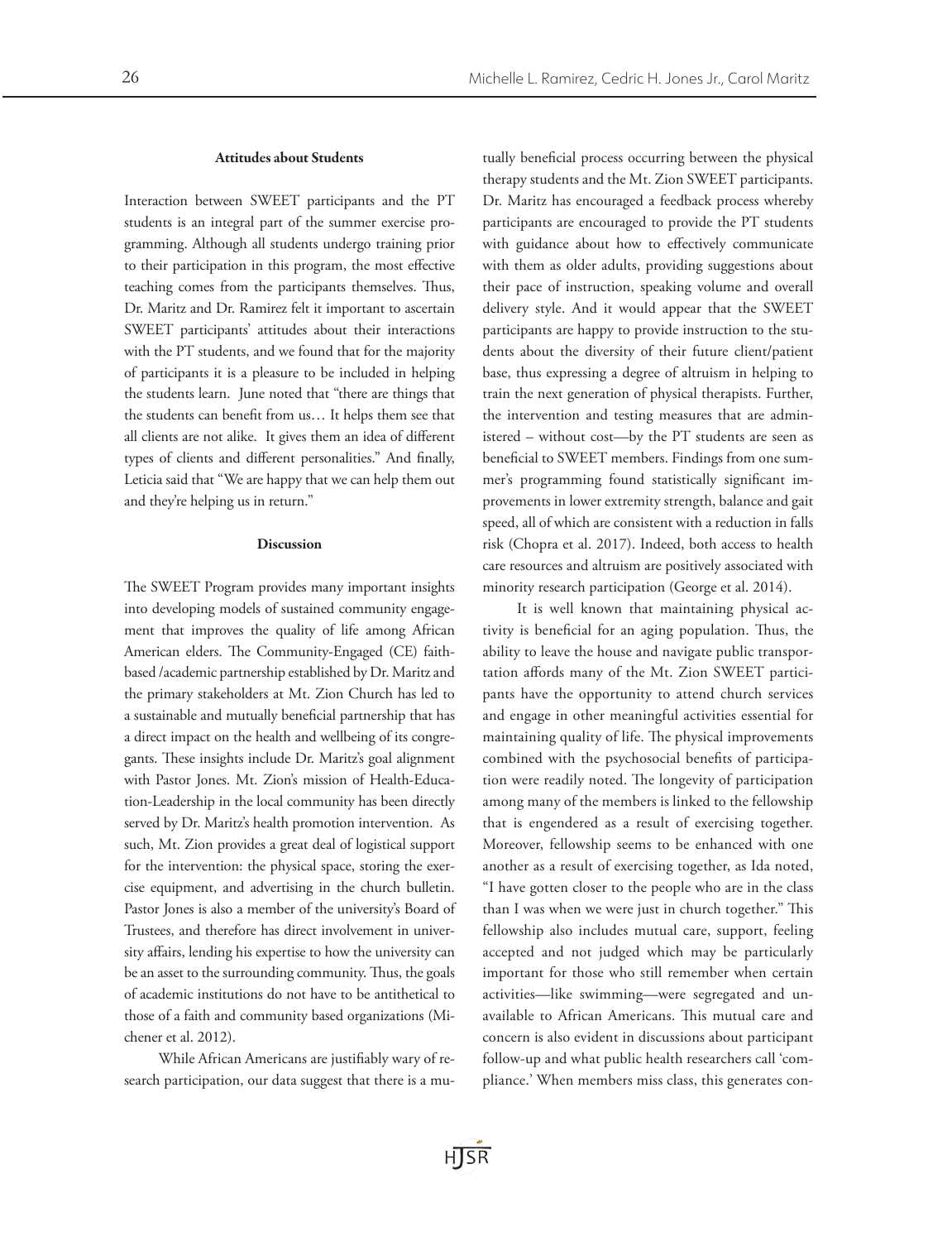#### Attitudes about Students

Interaction between SWEET participants and the PT students is an integral part of the summer exercise programming. Although all students undergo training prior to their participation in this program, the most effective teaching comes from the participants themselves. Thus, Dr. Maritz and Dr. Ramirez felt it important to ascertain SWEET participants' attitudes about their interactions with the PT students, and we found that for the majority of participants it is a pleasure to be included in helping the students learn. June noted that "there are things that the students can benefit from us… It helps them see that all clients are not alike. It gives them an idea of different types of clients and different personalities." And finally, Leticia said that "We are happy that we can help them out and they're helping us in return."

#### Discussion

The SWEET Program provides many important insights into developing models of sustained community engagement that improves the quality of life among African American elders. The Community-Engaged (CE) faithbased /academic partnership established by Dr. Maritz and the primary stakeholders at Mt. Zion Church has led to a sustainable and mutually beneficial partnership that has a direct impact on the health and wellbeing of its congregants. These insights include Dr. Maritz's goal alignment with Pastor Jones. Mt. Zion's mission of Health-Education-Leadership in the local community has been directly served by Dr. Maritz's health promotion intervention. As such, Mt. Zion provides a great deal of logistical support for the intervention: the physical space, storing the exercise equipment, and advertising in the church bulletin. Pastor Jones is also a member of the university's Board of Trustees, and therefore has direct involvement in university affairs, lending his expertise to how the university can be an asset to the surrounding community. Thus, the goals of academic institutions do not have to be antithetical to those of a faith and community based organizations (Michener et al. 2012).

While African Americans are justifiably wary of research participation, our data suggest that there is a mutually beneficial process occurring between the physical therapy students and the Mt. Zion SWEET participants. Dr. Maritz has encouraged a feedback process whereby participants are encouraged to provide the PT students with guidance about how to effectively communicate with them as older adults, providing suggestions about their pace of instruction, speaking volume and overall delivery style. And it would appear that the SWEET participants are happy to provide instruction to the students about the diversity of their future client/patient base, thus expressing a degree of altruism in helping to train the next generation of physical therapists. Further, the intervention and testing measures that are administered – without cost—by the PT students are seen as beneficial to SWEET members. Findings from one summer's programming found statistically significant improvements in lower extremity strength, balance and gait speed, all of which are consistent with a reduction in falls risk (Chopra et al. 2017). Indeed, both access to health care resources and altruism are positively associated with minority research participation (George et al. 2014).

It is well known that maintaining physical activity is beneficial for an aging population. Thus, the ability to leave the house and navigate public transportation affords many of the Mt. Zion SWEET participants have the opportunity to attend church services and engage in other meaningful activities essential for maintaining quality of life. The physical improvements combined with the psychosocial benefits of participation were readily noted. The longevity of participation among many of the members is linked to the fellowship that is engendered as a result of exercising together. Moreover, fellowship seems to be enhanced with one another as a result of exercising together, as Ida noted, "I have gotten closer to the people who are in the class than I was when we were just in church together." This fellowship also includes mutual care, support, feeling accepted and not judged which may be particularly important for those who still remember when certain activities—like swimming—were segregated and unavailable to African Americans. This mutual care and concern is also evident in discussions about participant follow-up and what public health researchers call 'compliance.' When members miss class, this generates con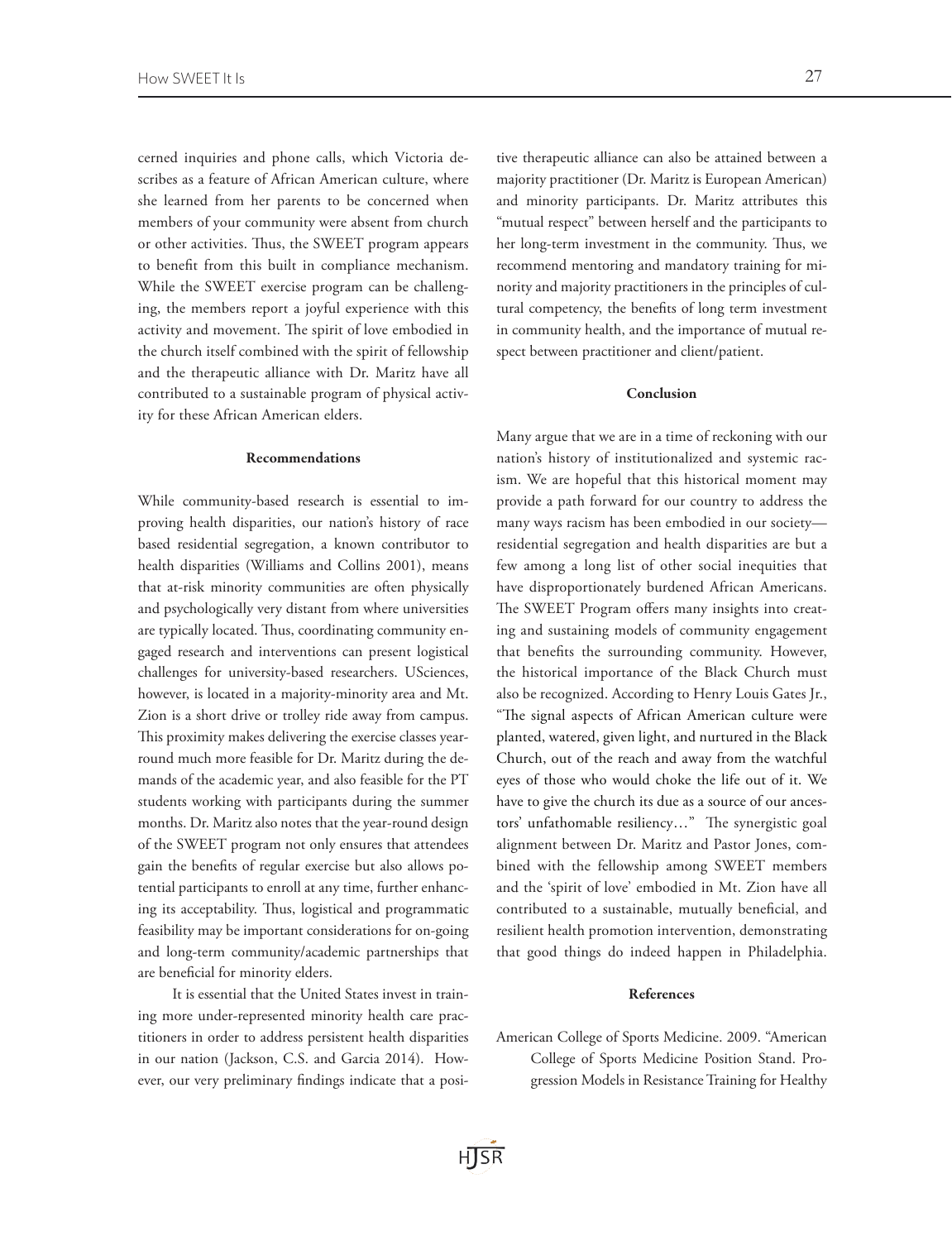cerned inquiries and phone calls, which Victoria describes as a feature of African American culture, where she learned from her parents to be concerned when members of your community were absent from church or other activities. Thus, the SWEET program appears to benefit from this built in compliance mechanism. While the SWEET exercise program can be challenging, the members report a joyful experience with this activity and movement. The spirit of love embodied in the church itself combined with the spirit of fellowship and the therapeutic alliance with Dr. Maritz have all contributed to a sustainable program of physical activity for these African American elders.

#### Recommendations

While community-based research is essential to improving health disparities, our nation's history of race based residential segregation, a known contributor to health disparities (Williams and Collins 2001), means that at-risk minority communities are often physically and psychologically very distant from where universities are typically located. Thus, coordinating community engaged research and interventions can present logistical challenges for university-based researchers. USciences, however, is located in a majority-minority area and Mt. Zion is a short drive or trolley ride away from campus. This proximity makes delivering the exercise classes yearround much more feasible for Dr. Maritz during the demands of the academic year, and also feasible for the PT students working with participants during the summer months. Dr. Maritz also notes that the year-round design of the SWEET program not only ensures that attendees gain the benefits of regular exercise but also allows potential participants to enroll at any time, further enhancing its acceptability. Thus, logistical and programmatic feasibility may be important considerations for on-going and long-term community/academic partnerships that are beneficial for minority elders.

It is essential that the United States invest in training more under-represented minority health care practitioners in order to address persistent health disparities in our nation (Jackson, C.S. and Garcia 2014). However, our very preliminary findings indicate that a posi-

tive therapeutic alliance can also be attained between a majority practitioner (Dr. Maritz is European American) and minority participants. Dr. Maritz attributes this "mutual respect" between herself and the participants to her long-term investment in the community. Thus, we recommend mentoring and mandatory training for minority and majority practitioners in the principles of cultural competency, the benefits of long term investment in community health, and the importance of mutual respect between practitioner and client/patient.

# Conclusion

Many argue that we are in a time of reckoning with our nation's history of institutionalized and systemic racism. We are hopeful that this historical moment may provide a path forward for our country to address the many ways racism has been embodied in our society residential segregation and health disparities are but a few among a long list of other social inequities that have disproportionately burdened African Americans. The SWEET Program offers many insights into creating and sustaining models of community engagement that benefits the surrounding community. However, the historical importance of the Black Church must also be recognized. According to Henry Louis Gates Jr., "The signal aspects of African American culture were planted, watered, given light, and nurtured in the Black Church, out of the reach and away from the watchful eyes of those who would choke the life out of it. We have to give the church its due as a source of our ancestors' unfathomable resiliency…" The synergistic goal alignment between Dr. Maritz and Pastor Jones, combined with the fellowship among SWEET members and the 'spirit of love' embodied in Mt. Zion have all contributed to a sustainable, mutually beneficial, and resilient health promotion intervention, demonstrating that good things do indeed happen in Philadelphia.

## References

American College of Sports Medicine. 2009. "American College of Sports Medicine Position Stand. Progression Models in Resistance Training for Healthy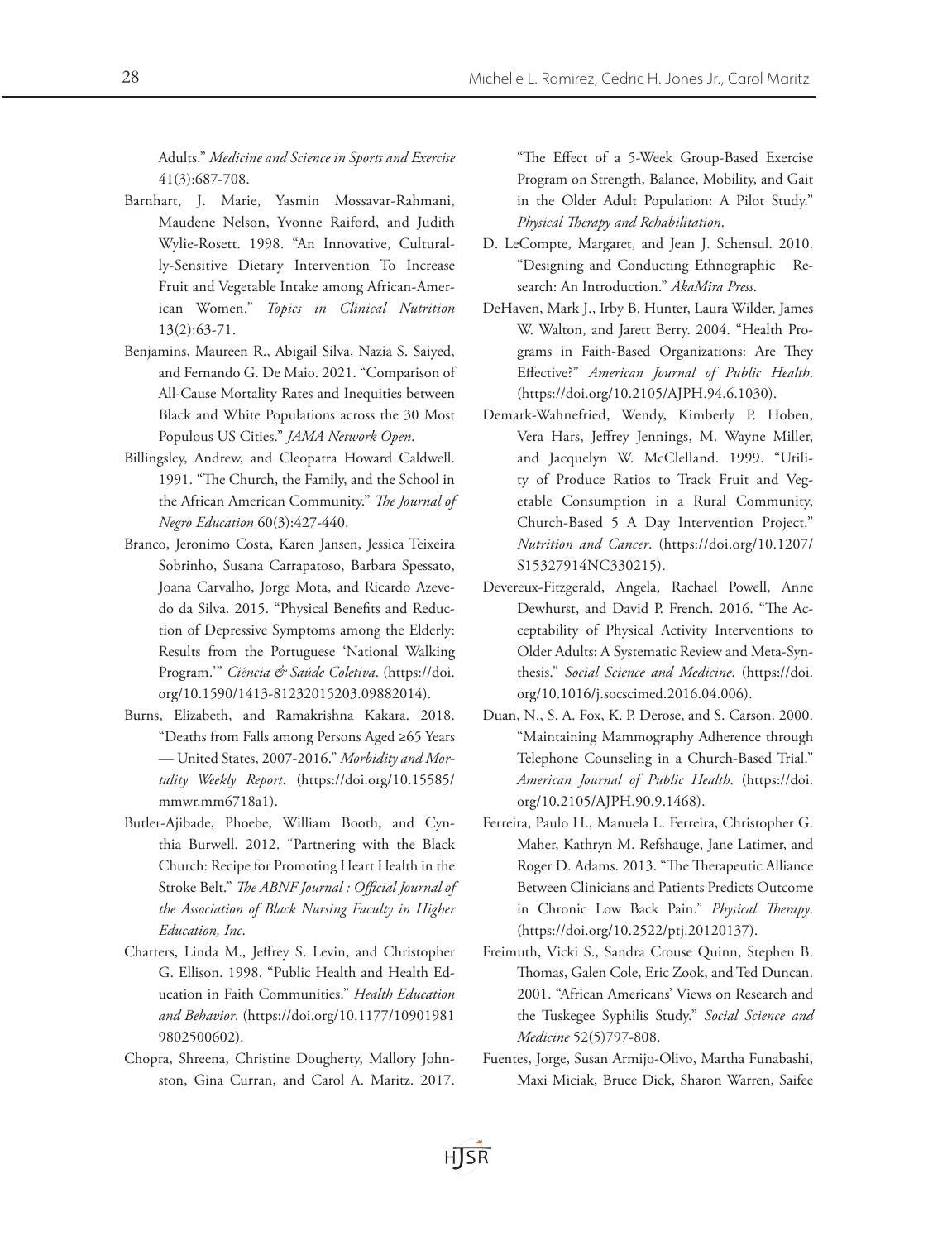Adults." *Medicine and Science in Sports and Exercise* 41(3):687-708.

- Barnhart, J. Marie, Yasmin Mossavar-Rahmani, Maudene Nelson, Yvonne Raiford, and Judith Wylie-Rosett. 1998. "An Innovative, Culturally-Sensitive Dietary Intervention To Increase Fruit and Vegetable Intake among African-American Women." *Topics in Clinical Nutrition* 13(2):63-71.
- Benjamins, Maureen R., Abigail Silva, Nazia S. Saiyed, and Fernando G. De Maio. 2021. "Comparison of All-Cause Mortality Rates and Inequities between Black and White Populations across the 30 Most Populous US Cities." *JAMA Network Open*.
- Billingsley, Andrew, and Cleopatra Howard Caldwell. 1991. "The Church, the Family, and the School in the African American Community." *The Journal of Negro Education* 60(3):427-440.
- Branco, Jeronimo Costa, Karen Jansen, Jessica Teixeira Sobrinho, Susana Carrapatoso, Barbara Spessato, Joana Carvalho, Jorge Mota, and Ricardo Azevedo da Silva. 2015. "Physical Benefits and Reduction of Depressive Symptoms among the Elderly: Results from the Portuguese 'National Walking Program.'" *Ciência & Saúde Coletiva*. (https://doi. org/10.1590/1413-81232015203.09882014).
- Burns, Elizabeth, and Ramakrishna Kakara. 2018. "Deaths from Falls among Persons Aged ≥65 Years — United States, 2007-2016." *Morbidity and Mortality Weekly Report*. (https://doi.org/10.15585/ mmwr.mm6718a1).
- Butler-Ajibade, Phoebe, William Booth, and Cynthia Burwell. 2012. "Partnering with the Black Church: Recipe for Promoting Heart Health in the Stroke Belt." *The ABNF Journal : Official Journal of the Association of Black Nursing Faculty in Higher Education, Inc*.
- Chatters, Linda M., Jeffrey S. Levin, and Christopher G. Ellison. 1998. "Public Health and Health Education in Faith Communities." *Health Education and Behavior*. (https://doi.org/10.1177/10901981 9802500602).
- Chopra, Shreena, Christine Dougherty, Mallory Johnston, Gina Curran, and Carol A. Maritz. 2017.

"The Effect of a 5-Week Group-Based Exercise Program on Strength, Balance, Mobility, and Gait in the Older Adult Population: A Pilot Study." *Physical Therapy and Rehabilitation*.

- D. LeCompte, Margaret, and Jean J. Schensul. 2010. "Designing and Conducting Ethnographic Research: An Introduction." *AkaMira Press*.
- DeHaven, Mark J., Irby B. Hunter, Laura Wilder, James W. Walton, and Jarett Berry. 2004. "Health Programs in Faith-Based Organizations: Are They Effective?" *American Journal of Public Health*. (https://doi.org/10.2105/AJPH.94.6.1030).
- Demark-Wahnefried, Wendy, Kimberly P. Hoben, Vera Hars, Jeffrey Jennings, M. Wayne Miller, and Jacquelyn W. McClelland. 1999. "Utility of Produce Ratios to Track Fruit and Vegetable Consumption in a Rural Community, Church-Based 5 A Day Intervention Project." *Nutrition and Cancer*. (https://doi.org/10.1207/ S15327914NC330215).
- Devereux-Fitzgerald, Angela, Rachael Powell, Anne Dewhurst, and David P. French. 2016. "The Acceptability of Physical Activity Interventions to Older Adults: A Systematic Review and Meta-Synthesis." *Social Science and Medicine*. (https://doi. org/10.1016/j.socscimed.2016.04.006).
- Duan, N., S. A. Fox, K. P. Derose, and S. Carson. 2000. "Maintaining Mammography Adherence through Telephone Counseling in a Church-Based Trial." *American Journal of Public Health*. (https://doi. org/10.2105/AJPH.90.9.1468).
- Ferreira, Paulo H., Manuela L. Ferreira, Christopher G. Maher, Kathryn M. Refshauge, Jane Latimer, and Roger D. Adams. 2013. "The Therapeutic Alliance Between Clinicians and Patients Predicts Outcome in Chronic Low Back Pain." *Physical Therapy*. (https://doi.org/10.2522/ptj.20120137).
- Freimuth, Vicki S., Sandra Crouse Quinn, Stephen B. Thomas, Galen Cole, Eric Zook, and Ted Duncan. 2001. "African Americans' Views on Research and the Tuskegee Syphilis Study." *Social Science and Medicine* 52(5)797-808.
- Fuentes, Jorge, Susan Armijo-Olivo, Martha Funabashi, Maxi Miciak, Bruce Dick, Sharon Warren, Saifee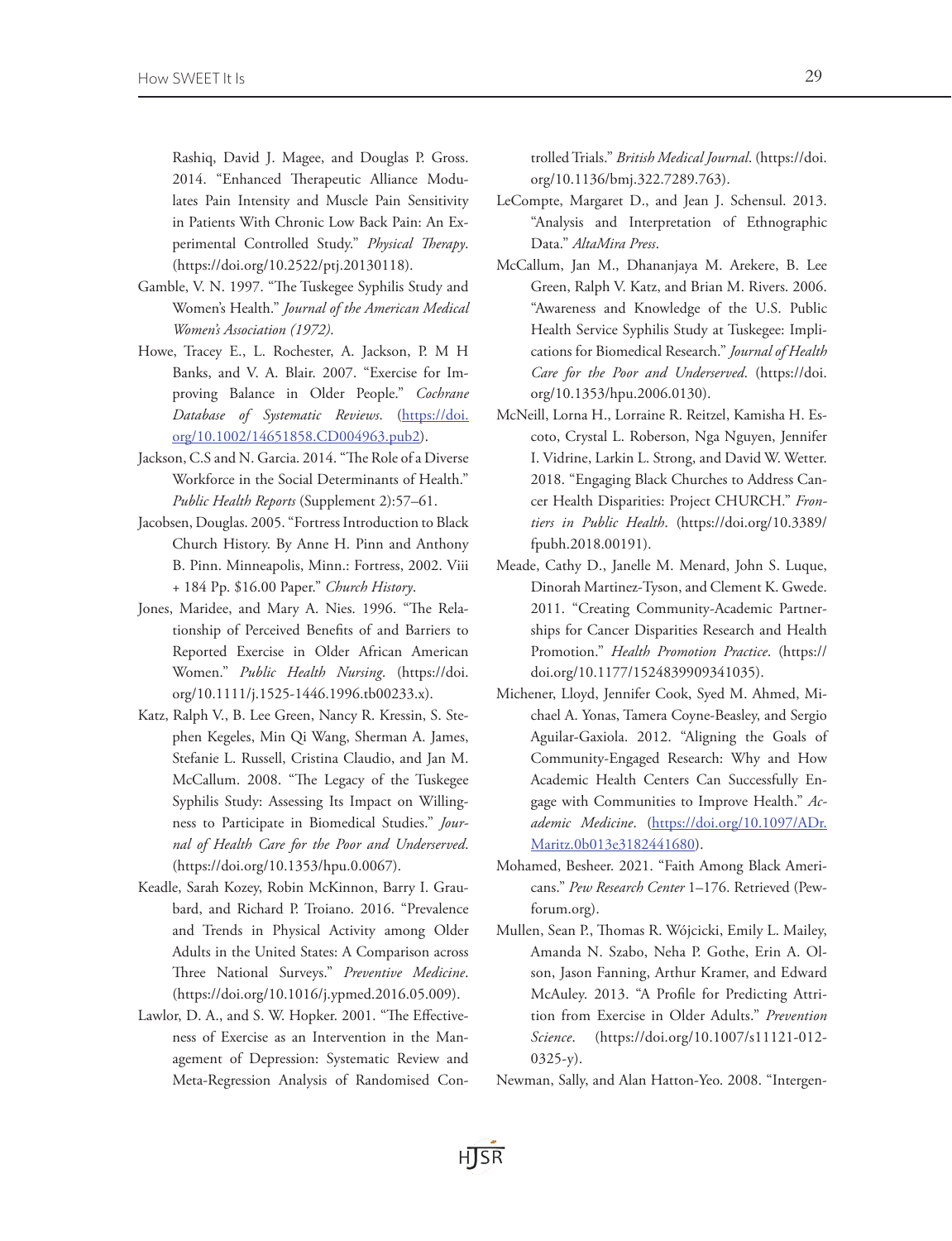Rashiq, David J. Magee, and Douglas P. Gross. 2014. "Enhanced Therapeutic Alliance Modulates Pain Intensity and Muscle Pain Sensitivity in Patients With Chronic Low Back Pain: An Experimental Controlled Study." *Physical Therapy*. (https://doi.org/10.2522/ptj.20130118).

- Gamble, V. N. 1997. "The Tuskegee Syphilis Study and Women's Health." *Journal of the American Medical Women's Association (1972)*.
- Howe, Tracey E., L. Rochester, A. Jackson, P. M H Banks, and V. A. Blair. 2007. "Exercise for Improving Balance in Older People." *Cochrane Database of Systematic Reviews*. [\(https://doi.](https://doi.org/10.1002/14651858.CD004963.pub2) [org/10.1002/14651858.CD004963.pub2](https://doi.org/10.1002/14651858.CD004963.pub2)).
- Jackson, C.S and N. Garcia. 2014. "The Role of a Diverse Workforce in the Social Determinants of Health." *Public Health Reports* (Supplement 2):57–61.
- Jacobsen, Douglas. 2005. "Fortress Introduction to Black Church History. By Anne H. Pinn and Anthony B. Pinn. Minneapolis, Minn.: Fortress, 2002. Viii + 184 Pp. \$16.00 Paper." *Church History*.
- Jones, Maridee, and Mary A. Nies. 1996. "The Relationship of Perceived Benefits of and Barriers to Reported Exercise in Older African American Women." *Public Health Nursing*. (https://doi. org/10.1111/j.1525-1446.1996.tb00233.x).
- Katz, Ralph V., B. Lee Green, Nancy R. Kressin, S. Stephen Kegeles, Min Qi Wang, Sherman A. James, Stefanie L. Russell, Cristina Claudio, and Jan M. McCallum. 2008. "The Legacy of the Tuskegee Syphilis Study: Assessing Its Impact on Willingness to Participate in Biomedical Studies." *Journal of Health Care for the Poor and Underserved*. (https://doi.org/10.1353/hpu.0.0067).
- Keadle, Sarah Kozey, Robin McKinnon, Barry I. Graubard, and Richard P. Troiano. 2016. "Prevalence and Trends in Physical Activity among Older Adults in the United States: A Comparison across Three National Surveys." *Preventive Medicine*. (https://doi.org/10.1016/j.ypmed.2016.05.009).
- Lawlor, D. A., and S. W. Hopker. 2001. "The Effectiveness of Exercise as an Intervention in the Management of Depression: Systematic Review and Meta-Regression Analysis of Randomised Con-

trolled Trials." *British Medical Journal*. (https://doi. org/10.1136/bmj.322.7289.763).

- LeCompte, Margaret D., and Jean J. Schensul. 2013. "Analysis and Interpretation of Ethnographic Data." *AltaMira Press*.
- McCallum, Jan M., Dhananjaya M. Arekere, B. Lee Green, Ralph V. Katz, and Brian M. Rivers. 2006. "Awareness and Knowledge of the U.S. Public Health Service Syphilis Study at Tuskegee: Implications for Biomedical Research." *Journal of Health Care for the Poor and Underserved*. (https://doi. org/10.1353/hpu.2006.0130).
- McNeill, Lorna H., Lorraine R. Reitzel, Kamisha H. Escoto, Crystal L. Roberson, Nga Nguyen, Jennifer I. Vidrine, Larkin L. Strong, and David W. Wetter. 2018. "Engaging Black Churches to Address Cancer Health Disparities: Project CHURCH." *Frontiers in Public Health*. (https://doi.org/10.3389/ fpubh.2018.00191).
- Meade, Cathy D., Janelle M. Menard, John S. Luque, Dinorah Martinez-Tyson, and Clement K. Gwede. 2011. "Creating Community-Academic Partnerships for Cancer Disparities Research and Health Promotion." *Health Promotion Practice*. (https:// doi.org/10.1177/1524839909341035).
- Michener, Lloyd, Jennifer Cook, Syed M. Ahmed, Michael A. Yonas, Tamera Coyne-Beasley, and Sergio Aguilar-Gaxiola. 2012. "Aligning the Goals of Community-Engaged Research: Why and How Academic Health Centers Can Successfully Engage with Communities to Improve Health." *Academic Medicine*. ([https://doi.org/10.1097/ADr.](https://doi.org/10.1097/ACM.0b013e3182441680) [Maritz.0b013e3182441680\)](https://doi.org/10.1097/ACM.0b013e3182441680).
- Mohamed, Besheer. 2021. "Faith Among Black Americans." *Pew Research Center* 1–176. Retrieved (Pewforum.org).
- Mullen, Sean P., Thomas R. Wójcicki, Emily L. Mailey, Amanda N. Szabo, Neha P. Gothe, Erin A. Olson, Jason Fanning, Arthur Kramer, and Edward McAuley. 2013. "A Profile for Predicting Attrition from Exercise in Older Adults." *Prevention Science*. (https://doi.org/10.1007/s11121-012-  $0325-y$ ).
- Newman, Sally, and Alan Hatton-Yeo. 2008. "Intergen-